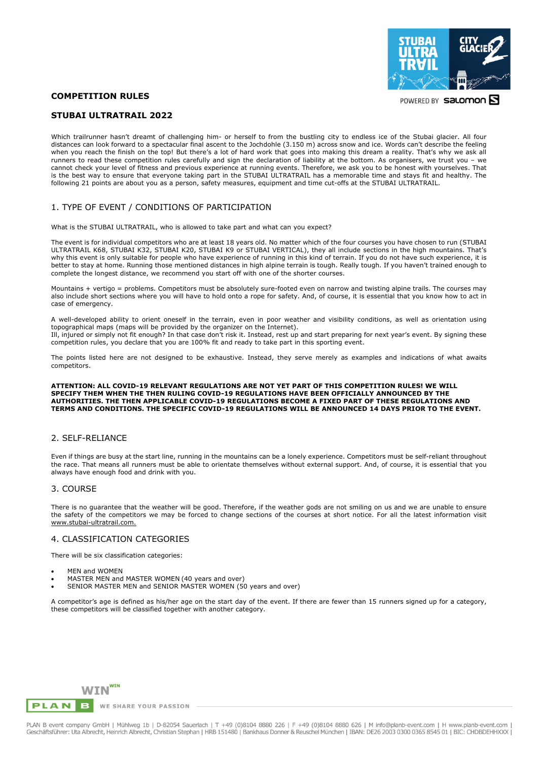## **COMPETITION RULES**

# **STUBAI ULTRATRAIL 2022**

Which trailrunner hasn't dreamt of challenging him- or herself to from the bustling city to endless ice of the Stubai glacier. All four distances can look forward to a spectacular final ascent to the Jochdohle (3.150 m) across snow and ice. Words can't describe the feeling when you reach the finish on the top! But there's a lot of hard work that goes into making this dream a reality. That's why we ask all runners to read these competition rules carefully and sign the declaration of liability at the bottom. As organisers, we trust you – we cannot check your level of fitness and previous experience at running events. Therefore, we ask you to be honest with yourselves. That is the best way to ensure that everyone taking part in the STUBAI ULTRATRAIL has a memorable time and stays fit and healthy. The following 21 points are about you as a person, safety measures, equipment and time cut-offs at the STUBAI ULTRATRAIL.

# 1. TYPE OF EVENT / CONDITIONS OF PARTICIPATION

What is the STUBAI ULTRATRAIL, who is allowed to take part and what can you expect?

The event is for individual competitors who are at least 18 years old. No matter which of the four courses you have chosen to run (STUBAI ULTRATRAIL K68, STUBAI K32, STUBAI K20, STUBAI K9 or STUBAI VERTICAL), they all include sections in the high mountains. That's why this event is only suitable for people who have experience of running in this kind of terrain. If you do not have such experience, it is better to stay at home. Running those mentioned distances in high alpine terrain is tough. Really tough. If you haven't trained enough to complete the longest distance, we recommend you start off with one of the shorter courses.

Mountains + vertigo = problems. Competitors must be absolutely sure-footed even on narrow and twisting alpine trails. The courses may also include short sections where you will have to hold onto a rope for safety. And, of course, it is essential that you know how to act in case of emergency.

A well-developed ability to orient oneself in the terrain, even in poor weather and visibility conditions, as well as orientation using topographical maps (maps will be provided by the organizer on the Internet). Ill, injured or simply not fit enough? In that case don't risk it. Instead, rest up and start preparing for next year's event. By signing these competition rules, you declare that you are 100% fit and ready to take part in this sporting event.

The points listed here are not designed to be exhaustive. Instead, they serve merely as examples and indications of what awaits competitors.

#### **ATTENTION: ALL COVID-19 RELEVANT REGULATIONS ARE NOT YET PART OF THIS COMPETITION RULES! WE WILL SPECIFY THEM WHEN THE THEN RULING COVID-19 REGULATIONS HAVE BEEN OFFICIALLY ANNOUNCED BY THE AUTHORITIES. THE THEN APPLICABLE COVID-19 REGULATIONS BECOME A FIXED PART OF THESE REGULATIONS AND TERMS AND CONDITIONS. THE SPECIFIC COVID-19 REGULATIONS WILL BE ANNOUNCED 14 DAYS PRIOR TO THE EVENT.**

#### 2. SELF-RELIANCE

Even if things are busy at the start line, running in the mountains can be a lonely experience. Competitors must be self-reliant throughout the race. That means all runners must be able to orientate themselves without external support. And, of course, it is essential that you always have enough food and drink with you.

### 3. COURSE

There is no guarantee that the weather will be good. Therefore, if the weather gods are not smiling on us and we are unable to ensure the safety of the competitors we may be forced to change sections of the courses at short notice. For all the latest information visit [www.stubai-ultratrail.com.](https://www.stubai.at/ultratrail/)

### 4. CLASSIFICATION CATEGORIES

There will be six classification categories:

- MEN and WOMEN
- MASTER MEN and MASTER WOMEN (40 years and over)
- SENIOR MASTER MEN and SENIOR MASTER WOMEN (50 years and over)

A competitor's age is defined as his/her age on the start day of the event. If there are fewer than 15 runners signed up for a category, these competitors will be classified together with another category.



PLAN B event company GmbH | Mühlweg 1b | D-82054 Sauerlach | T +49 (0)8104 8880 226 | F +49 (0)8104 8880 626 | M info@planb-event.com | H www.planb-event.com<br>Geschäftsführer: Uta Albrecht, Heinrich Albrecht, Christian Step



POWERED BY Salomon S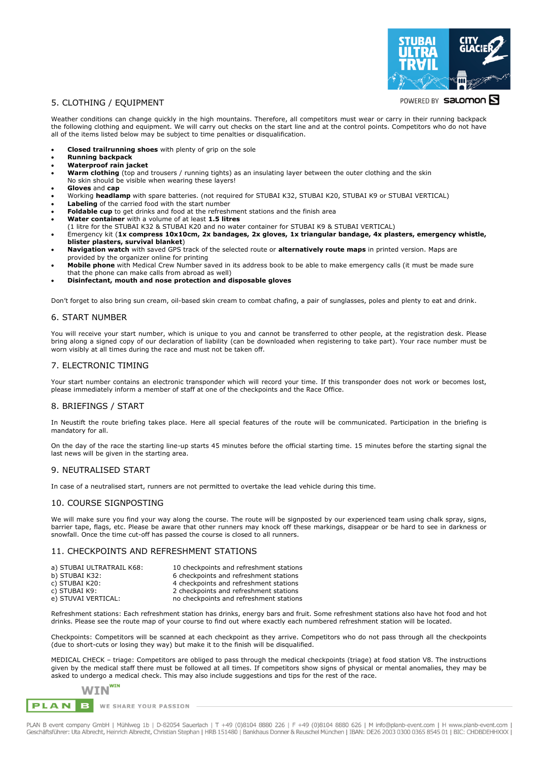

## 5. CLOTHING / EQUIPMENT

POWERED BY Salomon

Weather conditions can change quickly in the high mountains. Therefore, all competitors must wear or carry in their running backpack the following clothing and equipment. We will carry out checks on the start line and at the control points. Competitors who do not have all of the items listed below may be subject to time penalties or disqualification.

- **Closed trailrunning shoes** with plenty of grip on the sole
- **Running backpack**
- **Waterproof rain jacket**
- **Warm clothing** (top and trousers / running tights) as an insulating layer between the outer clothing and the skin
- No skin should be visible when wearing these layers!
- **Gloves** and **cap**
- Working **headlamp** with spare batteries. (not required for STUBAI K32, STUBAI K20, STUBAI K9 or STUBAI VERTICAL)
- **Labeling** of the carried food with the start number
- **Foldable cup** to get drinks and food at the refreshment stations and the finish area
- **Water container** with a volume of at least **1.5 litres** (1 litre for the STUBAI K32 & STUBAI K20 and no water container for STUBAI K9 & STUBAI VERTICAL)
- Emergency kit (**1x compress 10x10cm, 2x bandages, 2x gloves, 1x triangular bandage, 4x plasters, emergency whistle, blister plasters, survival blanket**)
- **Navigation watch** with saved GPS track of the selected route or **alternatively route maps** in printed version. Maps are provided by the organizer online for printing
- **Mobile phone** with Medical Crew Number saved in its address book to be able to make emergency calls (it must be made sure that the phone can make calls from abroad as well)
- **Disinfectant, mouth and nose protection and disposable gloves**

Don't forget to also bring sun cream, oil-based skin cream to combat chafing, a pair of sunglasses, poles and plenty to eat and drink.

#### 6. START NUMBER

You will receive your start number, which is unique to you and cannot be transferred to other people, at the registration desk. Please bring along a signed copy of our declaration of liability (can be downloaded when registering to take part). Your race number must be worn visibly at all times during the race and must not be taken off.

#### 7. ELECTRONIC TIMING

Your start number contains an electronic transponder which will record your time. If this transponder does not work or becomes lost, please immediately inform a member of staff at one of the checkpoints and the Race Office.

#### 8. BRIEFINGS / START

In Neustift the route briefing takes place. Here all special features of the route will be communicated. Participation in the briefing is mandatory for all.

On the day of the race the starting line-up starts 45 minutes before the official starting time. 15 minutes before the starting signal the last news will be given in the starting area.

## 9. NEUTRALISED START

In case of a neutralised start, runners are not permitted to overtake the lead vehicle during this time.

#### 10. COURSE SIGNPOSTING

We will make sure you find your way along the course. The route will be signposted by our experienced team using chalk spray, signs, barrier tape, flags, etc. Please be aware that other runners may knock off these markings, disappear or be hard to see in darkness or snowfall. Once the time cut-off has passed the course is closed to all runners.

## 11. CHECKPOINTS AND REFRESHMENT STATIONS

| 10 checkpoints and refreshment stations |
|-----------------------------------------|
| 6 checkpoints and refreshment stations  |
| 4 checkpoints and refreshment stations  |
| 2 checkpoints and refreshment stations  |
| no checkpoints and refreshment stations |
|                                         |

Refreshment stations: Each refreshment station has drinks, energy bars and fruit. Some refreshment stations also have hot food and hot drinks. Please see the route map of your course to find out where exactly each numbered refreshment station will be located.

Checkpoints: Competitors will be scanned at each checkpoint as they arrive. Competitors who do not pass through all the checkpoints (due to short-cuts or losing they way) but make it to the finish will be disqualified.

MEDICAL CHECK – triage: Competitors are obliged to pass through the medical checkpoints (triage) at food station V8. The instructions given by the medical staff there must be followed at all times. If competitors show signs of physical or mental anomalies, they may be asked to undergo a medical check. This may also include suggestions and tips for the rest of the race.

## WIN<sup>win</sup> **PLAN**  $\mathbf{B}$

WE SHARE YOUR PASSION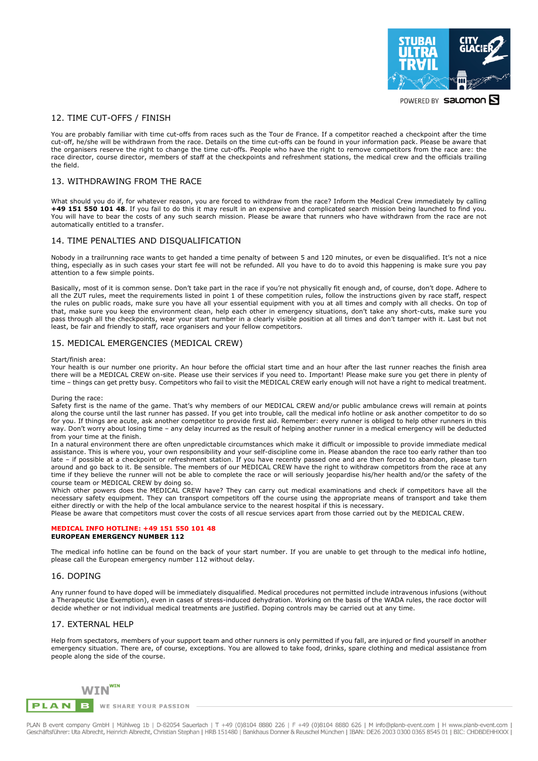

POWERED BY Salomon S

## 12. TIME CUT-OFFS / FINISH

You are probably familiar with time cut-offs from races such as the Tour de France. If a competitor reached a checkpoint after the time cut-off, he/she will be withdrawn from the race. Details on the time cut-offs can be found in your information pack. Please be aware that the organisers reserve the right to change the time cut-offs. People who have the right to remove competitors from the race are: the race director, course director, members of staff at the checkpoints and refreshment stations, the medical crew and the officials trailing the field.

### 13. WITHDRAWING FROM THE RACE

What should you do if, for whatever reason, you are forced to withdraw from the race? Inform the Medical Crew immediately by calling **+49 151 550 101 48**. If you fail to do this it may result in an expensive and complicated search mission being launched to find you. You will have to bear the costs of any such search mission. Please be aware that runners who have withdrawn from the race are not automatically entitled to a transfer.

#### 14. TIME PENALTIES AND DISQUALIFICATION

Nobody in a trailrunning race wants to get handed a time penalty of between 5 and 120 minutes, or even be disqualified. It's not a nice thing, especially as in such cases your start fee will not be refunded. All you have to do to avoid this happening is make sure you pay attention to a few simple points.

Basically, most of it is common sense. Don't take part in the race if you're not physically fit enough and, of course, don't dope. Adhere to all the ZUT rules, meet the requirements listed in point 1 of these competition rules, follow the instructions given by race staff, respect the rules on public roads, make sure you have all your essential equipment with you at all times and comply with all checks. On top of that, make sure you keep the environment clean, help each other in emergency situations, don't take any short-cuts, make sure you pass through all the checkpoints, wear your start number in a clearly visible position at all times and don't tamper with it. Last but not least, be fair and friendly to staff, race organisers and your fellow competitors.

## 15. MEDICAL EMERGENCIES (MEDICAL CREW)

#### Start/finish area:

Your health is our number one priority. An hour before the official start time and an hour after the last runner reaches the finish area there will be a MEDICAL CREW on-site. Please use their services if you need to. Important! Please make sure you get there in plenty of time – things can get pretty busy. Competitors who fail to visit the MEDICAL CREW early enough will not have a right to medical treatment.

During the race:

Safety first is the name of the game. That's why members of our MEDICAL CREW and/or public ambulance crews will remain at points along the course until the last runner has passed. If you get into trouble, call the medical info hotline or ask another competitor to do so for you. If things are acute, ask another competitor to provide first aid. Remember: every runner is obliged to help other runners in this way. Don't worry about losing time – any delay incurred as the result of helping another runner in a medical emergency will be deducted from your time at the finish.

In a natural environment there are often unpredictable circumstances which make it difficult or impossible to provide immediate medical assistance. This is where you, your own responsibility and your self-discipline come in. Please abandon the race too early rather than too late – if possible at a checkpoint or refreshment station. If you have recently passed one and are then forced to abandon, please turn around and go back to it. Be sensible. The members of our MEDICAL CREW have the right to withdraw competitors from the race at any time if they believe the runner will not be able to complete the race or will seriously jeopardise his/her health and/or the safety of the course team or MEDICAL CREW by doing so.

Which other powers does the MEDICAL CREW have? They can carry out medical examinations and check if competitors have all the necessary safety equipment. They can transport competitors off the course using the appropriate means of transport and take them either directly or with the help of the local ambulance service to the nearest hospital if this is necessary.

Please be aware that competitors must cover the costs of all rescue services apart from those carried out by the MEDICAL CREW.

#### **MEDICAL INFO HOTLINE: +49 151 550 101 48 EUROPEAN EMERGENCY NUMBER 112**

The medical info hotline can be found on the back of your start number. If you are unable to get through to the medical info hotline, please call the European emergency number 112 without delay.

## 16. DOPING

Any runner found to have doped will be immediately disqualified. Medical procedures not permitted include intravenous infusions (without a Therapeutic Use Exemption), even in cases of stress-induced dehydration. Working on the basis of the WADA rules, the race doctor will decide whether or not individual medical treatments are justified. Doping controls may be carried out at any time.

#### 17. EXTERNAL HELP

Help from spectators, members of your support team and other runners is only permitted if you fall, are injured or find yourself in another emergency situation. There are, of course, exceptions. You are allowed to take food, drinks, spare clothing and medical assistance from people along the side of the course.



PLAN B event company GmbH | Mühlweg 1b | D-82054 Sauerlach | T +49 (0)8104 8880 226 | F +49 (0)8104 8880 626 | M info@planb-event.com | H www.planb-event.com<br>Geschäftsführer: Uta Albrecht, Heinrich Albrecht, Christian Step